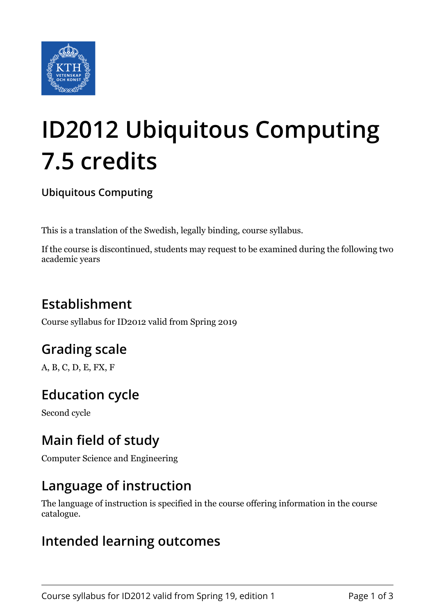

# **ID2012 Ubiquitous Computing 7.5 credits**

#### **Ubiquitous Computing**

This is a translation of the Swedish, legally binding, course syllabus.

If the course is discontinued, students may request to be examined during the following two academic years

# **Establishment**

Course syllabus for ID2012 valid from Spring 2019

# **Grading scale**

A, B, C, D, E, FX, F

# **Education cycle**

Second cycle

## **Main field of study**

Computer Science and Engineering

### **Language of instruction**

The language of instruction is specified in the course offering information in the course catalogue.

#### **Intended learning outcomes**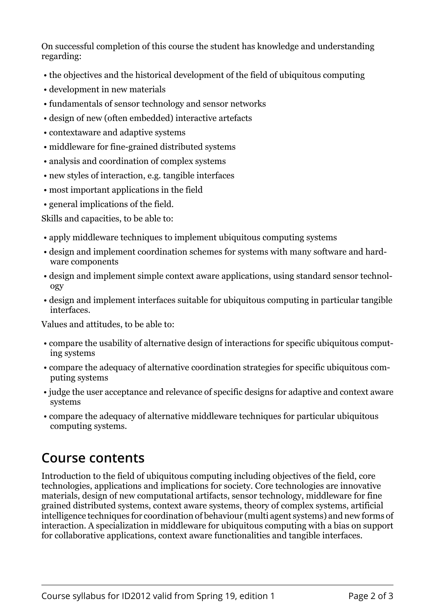On successful completion of this course the student has knowledge and understanding regarding:

- the objectives and the historical development of the field of ubiquitous computing
- development in new materials
- fundamentals of sensor technology and sensor networks
- design of new (often embedded) interactive artefacts
- contextaware and adaptive systems
- middleware for fine-grained distributed systems
- analysis and coordination of complex systems
- new styles of interaction, e.g. tangible interfaces
- most important applications in the field
- general implications of the field.

Skills and capacities, to be able to:

- apply middleware techniques to implement ubiquitous computing systems
- design and implement coordination schemes for systems with many software and hardware components
- design and implement simple context aware applications, using standard sensor technology
- design and implement interfaces suitable for ubiquitous computing in particular tangible interfaces.

Values and attitudes, to be able to:

- compare the usability of alternative design of interactions for specific ubiquitous computing systems
- compare the adequacy of alternative coordination strategies for specific ubiquitous computing systems
- judge the user acceptance and relevance of specific designs for adaptive and context aware systems
- compare the adequacy of alternative middleware techniques for particular ubiquitous computing systems.

# **Course contents**

Introduction to the field of ubiquitous computing including objectives of the field, core technologies, applications and implications for society. Core technologies are innovative materials, design of new computational artifacts, sensor technology, middleware for fine grained distributed systems, context aware systems, theory of complex systems, artificial intelligence techniques for coordination of behaviour (multi agent systems) and new forms of interaction. A specialization in middleware for ubiquitous computing with a bias on support for collaborative applications, context aware functionalities and tangible interfaces.